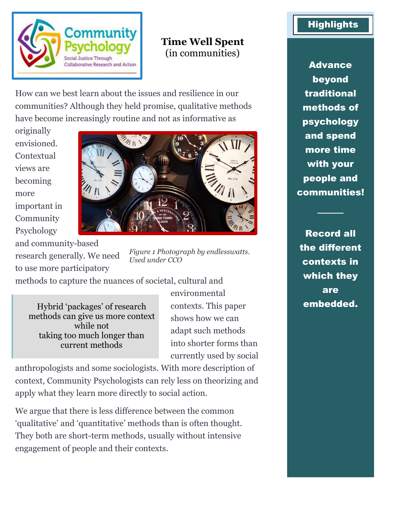

## **Time Well Spent** (in communities)

How can we best learn about the issues and resilience in our communities? Although they held promise, qualitative methods have become increasingly routine and not as informative as

originally envisioned. **Contextual** views are becoming more important in Community Psychology

and community-based research generally. We need to use more participatory



*Figure 1 Photograph by endlesswatts. Used under CCO*

methods to capture the nuances of societal, cultural and

Hybrid 'packages' of research methods can give us more context while not taking too much longer than current methods

environmental contexts. This paper shows how we can adapt such methods into shorter forms than currently used by social

anthropologists and some sociologists. With more description of context, Community Psychologists can rely less on theorizing and apply what they learn more directly to social action.

We argue that there is less difference between the common 'qualitative' and 'quantitative' methods than is often thought. They both are short-term methods, usually without intensive engagement of people and their contexts.

## **Highlights**

Advance beyond traditional methods of psychology and spend more time with your people and communities!

Record all the different contexts in which they are embedded.

────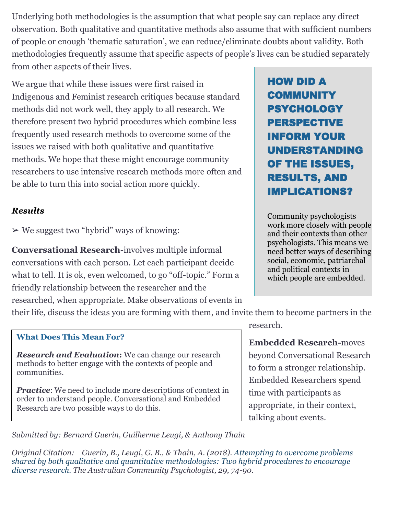Underlying both methodologies is the assumption that what people say can replace any direct observation. Both qualitative and quantitative methods also assume that with sufficient numbers of people or enough 'thematic saturation', we can reduce/eliminate doubts about validity. Both methodologies frequently assume that specific aspects of people's lives can be studied separately from other aspects of their lives.

We argue that while these issues were first raised in Indigenous and Feminist research critiques because standard methods did not work well, they apply to all research. We therefore present two hybrid procedures which combine less frequently used research methods to overcome some of the issues we raised with both qualitative and quantitative methods. We hope that these might encourage community researchers to use intensive research methods more often and be able to turn this into social action more quickly.

## *Results*

 $\triangleright$  We suggest two "hybrid" ways of knowing:

**Conversational Research-**involves multiple informal conversations with each person. Let each participant decide what to tell. It is ok, even welcomed, to go "off-topic." Form a friendly relationship between the researcher and the researched, when appropriate. Make observations of events in

their life, discuss the ideas you are forming with them, and invite them to become partners in the

## **What Does This Mean For?**

*Research and Evaluation***:** We can change our research methods to better engage with the contexts of people and communities.

*Practice:* We need to include more descriptions of context in order to understand people. Conversational and Embedded Research are two possible ways to do this.

HOW DID A COMMUNITY PSYCHOLOGY PERSPECTIVE INFORM YOUR UNDERSTANDING OF THE ISSUES, RESULTS, AND IMPLICATIONS?

Community psychologists work more closely with people and their contexts than other psychologists. This means we need better ways of describing social, economic, patriarchal and political contexts in which people are embedded.

research.

**Embedded Research-**moves beyond Conversational Research to form a stronger relationship. Embedded Researchers spend time with participants as appropriate, in their context, talking about events.

*Submitted by: Bernard Guerin, Guilherme Leugi, & Anthony Thain*

*Original Citation: Guerin, B., Leugi, G. B., & Thain, A. (2018). [Attempting to overcome problems](https://www.psychology.org.au/getmedia/94c40ee7-d7b2-4118-9dbb-125dd78c54b6/Guerin-et-al-ACP-Vol-29-2-2018.pdf)  [shared by both qualitative and quantitative methodologies: Two hybrid procedures to encourage](https://www.psychology.org.au/getmedia/94c40ee7-d7b2-4118-9dbb-125dd78c54b6/Guerin-et-al-ACP-Vol-29-2-2018.pdf)  [diverse research.](https://www.psychology.org.au/getmedia/94c40ee7-d7b2-4118-9dbb-125dd78c54b6/Guerin-et-al-ACP-Vol-29-2-2018.pdf) The Australian Community Psychologist, 29, 74-90.*